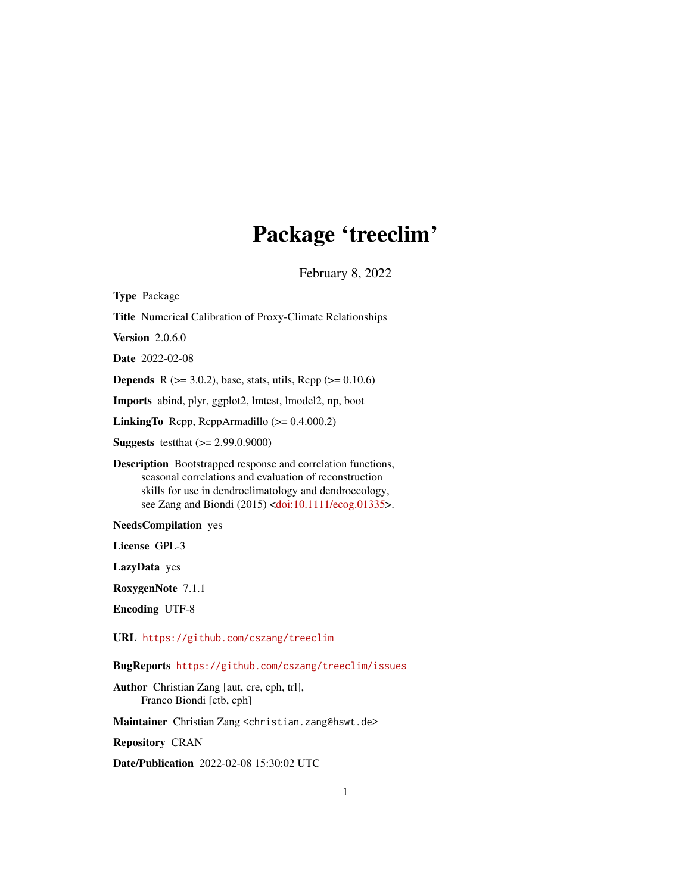## Package 'treeclim'

February 8, 2022

<span id="page-0-0"></span>Type Package Title Numerical Calibration of Proxy-Climate Relationships Version 2.0.6.0 Date 2022-02-08 **Depends** R ( $>= 3.0.2$ ), base, stats, utils, Rcpp ( $>= 0.10.6$ ) Imports abind, plyr, ggplot2, lmtest, lmodel2, np, boot LinkingTo Rcpp, RcppArmadillo (>= 0.4.000.2) Suggests testthat (>= 2.99.0.9000) Description Bootstrapped response and correlation functions, seasonal correlations and evaluation of reconstruction skills for use in dendroclimatology and dendroecology, see Zang and Biondi (2015) [<doi:10.1111/ecog.01335>](https://doi.org/10.1111/ecog.01335). NeedsCompilation yes License GPL-3 LazyData yes RoxygenNote 7.1.1 Encoding UTF-8 URL <https://github.com/cszang/treeclim>

BugReports <https://github.com/cszang/treeclim/issues>

Author Christian Zang [aut, cre, cph, trl], Franco Biondi [ctb, cph]

Maintainer Christian Zang <christian.zang@hswt.de>

Repository CRAN

Date/Publication 2022-02-08 15:30:02 UTC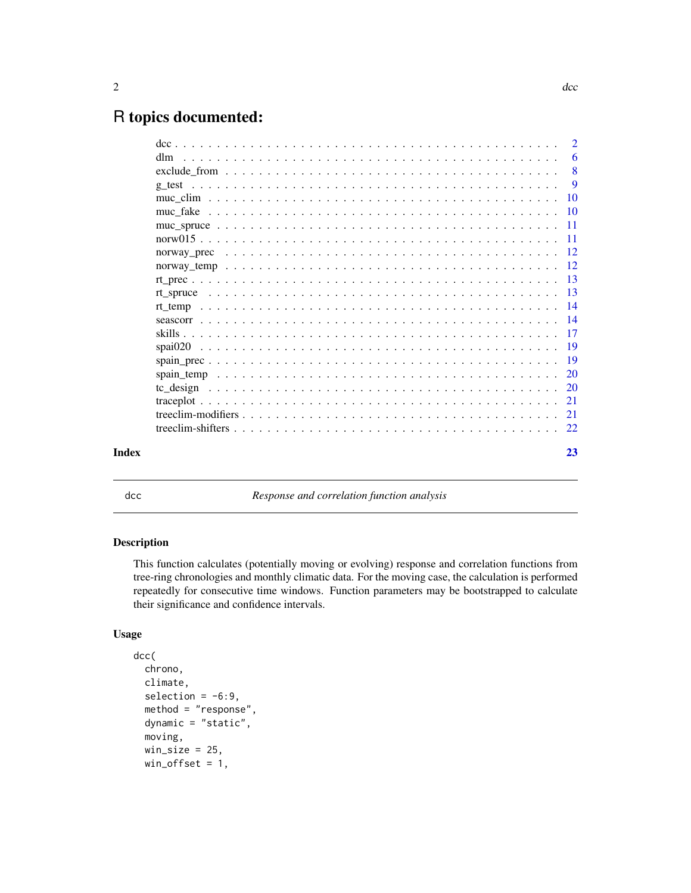## <span id="page-1-0"></span>R topics documented:

|       |                                                                                                                              | -6             |
|-------|------------------------------------------------------------------------------------------------------------------------------|----------------|
|       | $\text{exclude\_from} \dots \dots \dots \dots \dots \dots \dots \dots \dots \dots \dots \dots \dots \dots \dots \dots \dots$ |                |
|       |                                                                                                                              | $\overline{9}$ |
|       |                                                                                                                              |                |
|       |                                                                                                                              |                |
|       |                                                                                                                              |                |
|       |                                                                                                                              |                |
|       |                                                                                                                              |                |
|       |                                                                                                                              |                |
|       |                                                                                                                              |                |
|       |                                                                                                                              |                |
|       |                                                                                                                              |                |
|       |                                                                                                                              |                |
|       |                                                                                                                              |                |
|       |                                                                                                                              |                |
|       |                                                                                                                              |                |
|       |                                                                                                                              |                |
|       |                                                                                                                              |                |
|       |                                                                                                                              |                |
|       |                                                                                                                              |                |
|       |                                                                                                                              |                |
| Index |                                                                                                                              | 23             |

<span id="page-1-1"></span>dcc *Response and correlation function analysis*

## Description

This function calculates (potentially moving or evolving) response and correlation functions from tree-ring chronologies and monthly climatic data. For the moving case, the calculation is performed repeatedly for consecutive time windows. Function parameters may be bootstrapped to calculate their significance and confidence intervals.

## Usage

```
dcc(
  chrono,
  climate,
  selection = -6:9.
  method = "response",
  dynamic = "static",
  moving,
  win\_size = 25,
  win_{\text{offset}} = 1,
```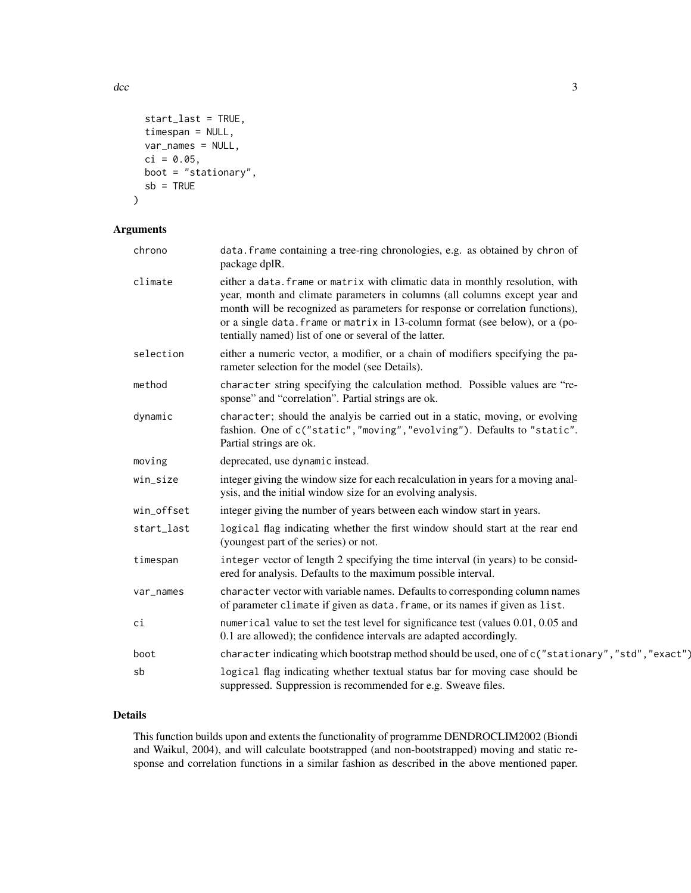$\rm{d}$ cc  $\rm{3}$ 

```
start_last = TRUE,
 timespan = NULL,
 var_names = NULL,
 ci = 0.05,boot = "stationary",
 sb = TRUE)
```
## Arguments

| chrono     | data. frame containing a tree-ring chronologies, e.g. as obtained by chron of<br>package dplR.                                                                                                                                                                                                                                                                                          |
|------------|-----------------------------------------------------------------------------------------------------------------------------------------------------------------------------------------------------------------------------------------------------------------------------------------------------------------------------------------------------------------------------------------|
| climate    | either a data. frame or matrix with climatic data in monthly resolution, with<br>year, month and climate parameters in columns (all columns except year and<br>month will be recognized as parameters for response or correlation functions),<br>or a single data. frame or matrix in 13-column format (see below), or a (po-<br>tentially named) list of one or several of the latter. |
| selection  | either a numeric vector, a modifier, or a chain of modifiers specifying the pa-<br>rameter selection for the model (see Details).                                                                                                                                                                                                                                                       |
| method     | character string specifying the calculation method. Possible values are "re-<br>sponse" and "correlation". Partial strings are ok.                                                                                                                                                                                                                                                      |
| dynamic    | character; should the analyis be carried out in a static, moving, or evolving<br>fashion. One of c("static","moving","evolving"). Defaults to "static".<br>Partial strings are ok.                                                                                                                                                                                                      |
| moving     | deprecated, use dynamic instead.                                                                                                                                                                                                                                                                                                                                                        |
| win_size   | integer giving the window size for each recalculation in years for a moving anal-<br>ysis, and the initial window size for an evolving analysis.                                                                                                                                                                                                                                        |
| win_offset | integer giving the number of years between each window start in years.                                                                                                                                                                                                                                                                                                                  |
| start_last | logical flag indicating whether the first window should start at the rear end<br>(youngest part of the series) or not.                                                                                                                                                                                                                                                                  |
| timespan   | integer vector of length 2 specifying the time interval (in years) to be consid-<br>ered for analysis. Defaults to the maximum possible interval.                                                                                                                                                                                                                                       |
| var_names  | character vector with variable names. Defaults to corresponding column names<br>of parameter climate if given as data. frame, or its names if given as list.                                                                                                                                                                                                                            |
| ci         | numerical value to set the test level for significance test (values 0.01, 0.05 and<br>0.1 are allowed); the confidence intervals are adapted accordingly.                                                                                                                                                                                                                               |
| boot       | character indicating which bootstrap method should be used, one of c("stationary", "std", "exact")                                                                                                                                                                                                                                                                                      |
| sb         | logical flag indicating whether textual status bar for moving case should be<br>suppressed. Suppression is recommended for e.g. Sweave files.                                                                                                                                                                                                                                           |

## Details

This function builds upon and extents the functionality of programme DENDROCLIM2002 (Biondi and Waikul, 2004), and will calculate bootstrapped (and non-bootstrapped) moving and static response and correlation functions in a similar fashion as described in the above mentioned paper.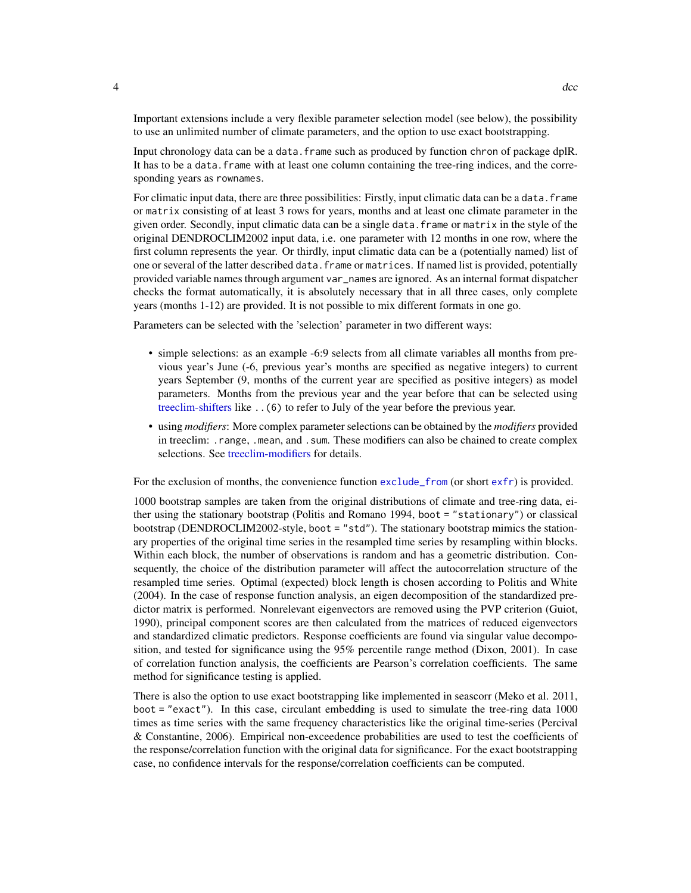Important extensions include a very flexible parameter selection model (see below), the possibility to use an unlimited number of climate parameters, and the option to use exact bootstrapping.

Input chronology data can be a data.frame such as produced by function chron of package dplR. It has to be a data. frame with at least one column containing the tree-ring indices, and the corresponding years as rownames.

For climatic input data, there are three possibilities: Firstly, input climatic data can be a data. frame or matrix consisting of at least 3 rows for years, months and at least one climate parameter in the given order. Secondly, input climatic data can be a single data.frame or matrix in the style of the original DENDROCLIM2002 input data, i.e. one parameter with 12 months in one row, where the first column represents the year. Or thirdly, input climatic data can be a (potentially named) list of one or several of the latter described data.frame or matrices. If named list is provided, potentially provided variable names through argument var\_names are ignored. As an internal format dispatcher checks the format automatically, it is absolutely necessary that in all three cases, only complete years (months 1-12) are provided. It is not possible to mix different formats in one go.

Parameters can be selected with the 'selection' parameter in two different ways:

- simple selections: as an example -6:9 selects from all climate variables all months from previous year's June (-6, previous year's months are specified as negative integers) to current years September (9, months of the current year are specified as positive integers) as model parameters. Months from the previous year and the year before that can be selected using [treeclim-shifters](#page-21-1) like ..(6) to refer to July of the year before the previous year.
- using *modifiers*: More complex parameter selections can be obtained by the *modifiers* provided in treeclim: .range, .mean, and .sum. These modifiers can also be chained to create complex selections. See [treeclim-modifiers](#page-20-1) for details.

For the exclusion of months, the convenience function [exclude\\_from](#page-7-1) (or short [exfr](#page-7-2)) is provided.

1000 bootstrap samples are taken from the original distributions of climate and tree-ring data, either using the stationary bootstrap (Politis and Romano 1994, boot = "stationary") or classical bootstrap (DENDROCLIM2002-style, boot = "std"). The stationary bootstrap mimics the stationary properties of the original time series in the resampled time series by resampling within blocks. Within each block, the number of observations is random and has a geometric distribution. Consequently, the choice of the distribution parameter will affect the autocorrelation structure of the resampled time series. Optimal (expected) block length is chosen according to Politis and White (2004). In the case of response function analysis, an eigen decomposition of the standardized predictor matrix is performed. Nonrelevant eigenvectors are removed using the PVP criterion (Guiot, 1990), principal component scores are then calculated from the matrices of reduced eigenvectors and standardized climatic predictors. Response coefficients are found via singular value decomposition, and tested for significance using the 95% percentile range method (Dixon, 2001). In case of correlation function analysis, the coefficients are Pearson's correlation coefficients. The same method for significance testing is applied.

There is also the option to use exact bootstrapping like implemented in seascorr (Meko et al. 2011, boot = "exact"). In this case, circulant embedding is used to simulate the tree-ring data 1000 times as time series with the same frequency characteristics like the original time-series (Percival & Constantine, 2006). Empirical non-exceedence probabilities are used to test the coefficients of the response/correlation function with the original data for significance. For the exact bootstrapping case, no confidence intervals for the response/correlation coefficients can be computed.

<span id="page-3-0"></span>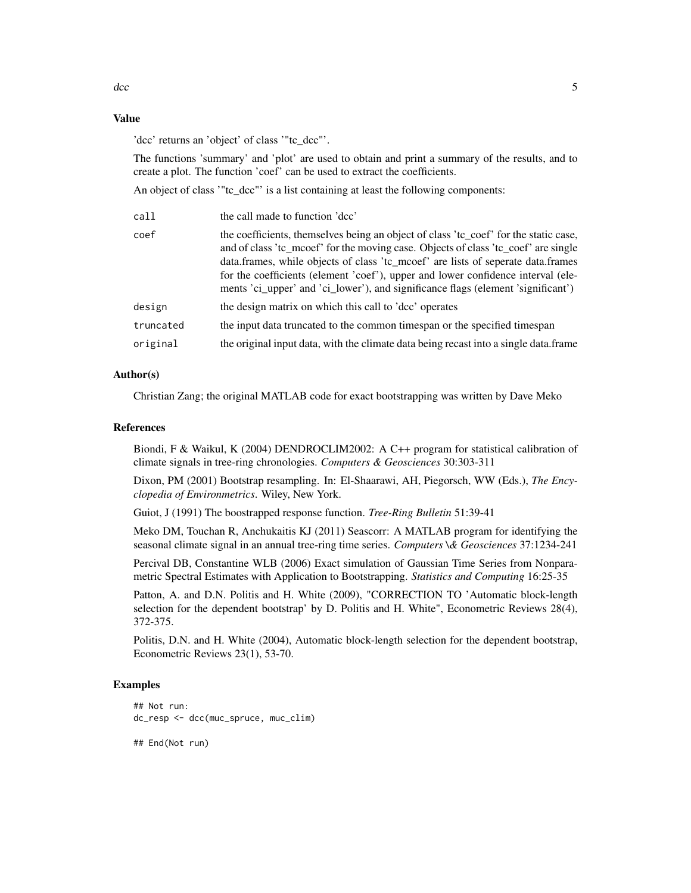## Value

'dcc' returns an 'object' of class '"tc\_dcc"'.

The functions 'summary' and 'plot' are used to obtain and print a summary of the results, and to create a plot. The function 'coef' can be used to extract the coefficients.

An object of class '"tc\_dcc"' is a list containing at least the following components:

| call      | the call made to function 'dcc'                                                                                                                                                                                                                                                                                                                                                                                                        |
|-----------|----------------------------------------------------------------------------------------------------------------------------------------------------------------------------------------------------------------------------------------------------------------------------------------------------------------------------------------------------------------------------------------------------------------------------------------|
| coef      | the coefficients, themselves being an object of class 'tc_coef' for the static case,<br>and of class 'tc_mcoef' for the moving case. Objects of class 'tc_coef' are single<br>data.frames, while objects of class 'tc_mcoef' are lists of seperate data.frames<br>for the coefficients (element 'coef'), upper and lower confidence interval (ele-<br>ments 'ci_upper' and 'ci_lower'), and significance flags (element 'significant') |
| design    | the design matrix on which this call to 'dcc' operates                                                                                                                                                                                                                                                                                                                                                                                 |
| truncated | the input data truncated to the common timespan or the specified timespan                                                                                                                                                                                                                                                                                                                                                              |
| original  | the original input data, with the climate data being recast into a single data.frame                                                                                                                                                                                                                                                                                                                                                   |
|           |                                                                                                                                                                                                                                                                                                                                                                                                                                        |

## Author(s)

Christian Zang; the original MATLAB code for exact bootstrapping was written by Dave Meko

#### References

Biondi, F & Waikul, K (2004) DENDROCLIM2002: A C++ program for statistical calibration of climate signals in tree-ring chronologies. *Computers & Geosciences* 30:303-311

Dixon, PM (2001) Bootstrap resampling. In: El-Shaarawi, AH, Piegorsch, WW (Eds.), *The Encyclopedia of Environmetrics*. Wiley, New York.

Guiot, J (1991) The boostrapped response function. *Tree-Ring Bulletin* 51:39-41

Meko DM, Touchan R, Anchukaitis KJ (2011) Seascorr: A MATLAB program for identifying the seasonal climate signal in an annual tree-ring time series. *Computers \& Geosciences* 37:1234-241

Percival DB, Constantine WLB (2006) Exact simulation of Gaussian Time Series from Nonparametric Spectral Estimates with Application to Bootstrapping. *Statistics and Computing* 16:25-35

Patton, A. and D.N. Politis and H. White (2009), "CORRECTION TO 'Automatic block-length selection for the dependent bootstrap' by D. Politis and H. White", Econometric Reviews 28(4), 372-375.

Politis, D.N. and H. White (2004), Automatic block-length selection for the dependent bootstrap, Econometric Reviews 23(1), 53-70.

#### Examples

```
## Not run:
dc_resp <- dcc(muc_spruce, muc_clim)
```
## End(Not run)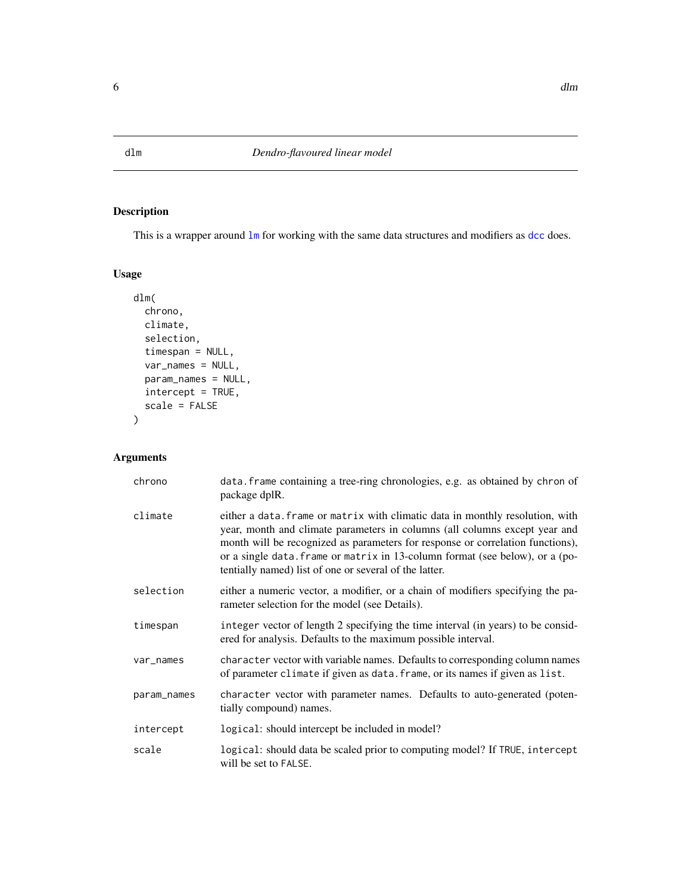<span id="page-5-1"></span><span id="page-5-0"></span>This is a wrapper around  $\text{Im}$  for working with the same data structures and modifiers as [dcc](#page-1-1) does.

```
Usage
```

```
dlm(
  chrono,
  climate,
  selection,
  timespan = NULL,
  var_names = NULL,
  param_names = NULL,
  intercept = TRUE,
  scale = FALSE
)
```
## Arguments

| chrono      | data. frame containing a tree-ring chronologies, e.g. as obtained by chron of<br>package dplR.                                                                                                                                                                                                                                                                                          |
|-------------|-----------------------------------------------------------------------------------------------------------------------------------------------------------------------------------------------------------------------------------------------------------------------------------------------------------------------------------------------------------------------------------------|
| climate     | either a data. Frame or matrix with climatic data in monthly resolution, with<br>year, month and climate parameters in columns (all columns except year and<br>month will be recognized as parameters for response or correlation functions),<br>or a single data. frame or matrix in 13-column format (see below), or a (po-<br>tentially named) list of one or several of the latter. |
| selection   | either a numeric vector, a modifier, or a chain of modifiers specifying the pa-<br>rameter selection for the model (see Details).                                                                                                                                                                                                                                                       |
| timespan    | integer vector of length 2 specifying the time interval (in years) to be consid-<br>ered for analysis. Defaults to the maximum possible interval.                                                                                                                                                                                                                                       |
| var_names   | character vector with variable names. Defaults to corresponding column names<br>of parameter climate if given as data. frame, or its names if given as list.                                                                                                                                                                                                                            |
| param_names | character vector with parameter names. Defaults to auto-generated (poten-<br>tially compound) names.                                                                                                                                                                                                                                                                                    |
| intercept   | logical: should intercept be included in model?                                                                                                                                                                                                                                                                                                                                         |
| scale       | logical: should data be scaled prior to computing model? If TRUE, intercept<br>will be set to FALSE.                                                                                                                                                                                                                                                                                    |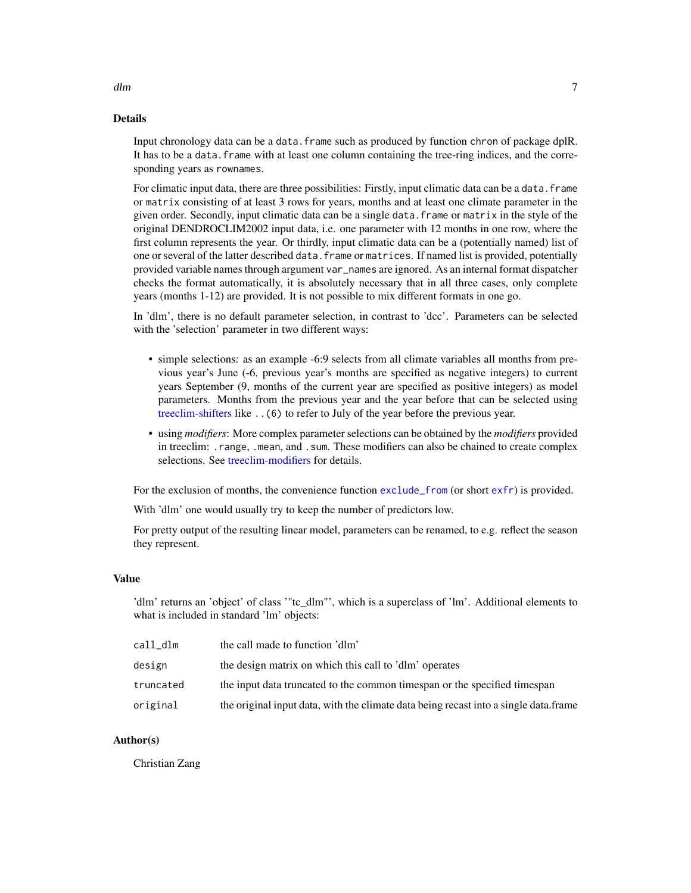## Details

Input chronology data can be a data.frame such as produced by function chron of package dplR. It has to be a data. frame with at least one column containing the tree-ring indices, and the corresponding years as rownames.

For climatic input data, there are three possibilities: Firstly, input climatic data can be a data. frame or matrix consisting of at least 3 rows for years, months and at least one climate parameter in the given order. Secondly, input climatic data can be a single data.frame or matrix in the style of the original DENDROCLIM2002 input data, i.e. one parameter with 12 months in one row, where the first column represents the year. Or thirdly, input climatic data can be a (potentially named) list of one or several of the latter described data.frame or matrices. If named list is provided, potentially provided variable names through argument var\_names are ignored. As an internal format dispatcher checks the format automatically, it is absolutely necessary that in all three cases, only complete years (months 1-12) are provided. It is not possible to mix different formats in one go.

In 'dlm', there is no default parameter selection, in contrast to 'dcc'. Parameters can be selected with the 'selection' parameter in two different ways:

- simple selections: as an example -6:9 selects from all climate variables all months from previous year's June (-6, previous year's months are specified as negative integers) to current years September (9, months of the current year are specified as positive integers) as model parameters. Months from the previous year and the year before that can be selected using [treeclim-shifters](#page-21-1) like ..(6) to refer to July of the year before the previous year.
- using *modifiers*: More complex parameter selections can be obtained by the *modifiers* provided in treeclim: .range, .mean, and .sum. These modifiers can also be chained to create complex selections. See [treeclim-modifiers](#page-20-1) for details.

For the exclusion of months, the convenience function [exclude\\_from](#page-7-1) (or short [exfr](#page-7-2)) is provided.

With 'dlm' one would usually try to keep the number of predictors low.

For pretty output of the resulting linear model, parameters can be renamed, to e.g. reflect the season they represent.

## Value

'dlm' returns an 'object' of class '"tc\_dlm"', which is a superclass of 'lm'. Additional elements to what is included in standard 'lm' objects:

| call dlm  | the call made to function 'dlm'                                                       |
|-----------|---------------------------------------------------------------------------------------|
| design    | the design matrix on which this call to 'dlm' operates                                |
| truncated | the input data truncated to the common timespan or the specified timespan             |
| original  | the original input data, with the climate data being recast into a single data. frame |

#### Author(s)

Christian Zang

#### <span id="page-6-0"></span>dlm and the contract of the contract of the contract of the contract of the contract of the contract of the contract of the contract of the contract of the contract of the contract of the contract of the contract of the co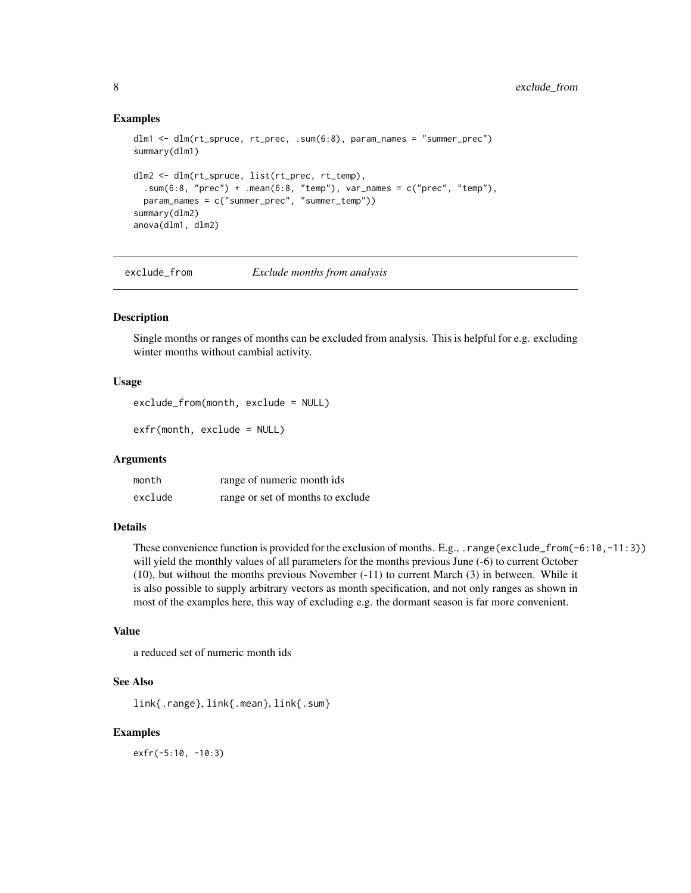## Examples

```
dlm1 <- dlm(rt_spruce, rt_prec, .sum(6:8), param_names = "summer_prec")
summary(dlm1)
dlm2 <- dlm(rt_spruce, list(rt_prec, rt_temp),
  sum(6:8, "prec") + ...mean(6:8, "temp"), var_names = c("prec", "temp"),
 param_names = c("summer_prec", "summer_temp"))
summary(dlm2)
anova(dlm1, dlm2)
```
<span id="page-7-1"></span>exclude\_from *Exclude months from analysis*

#### <span id="page-7-2"></span>Description

Single months or ranges of months can be excluded from analysis. This is helpful for e.g. excluding winter months without cambial activity.

### Usage

exclude\_from(month, exclude = NULL)

exfr(month, exclude = NULL)

## Arguments

| month   | range of numeric month ids        |
|---------|-----------------------------------|
| exclude | range or set of months to exclude |

#### Details

These convenience function is provided for the exclusion of months. E.g., . range(exclude\_from(-6:10,-11:3)) will yield the monthly values of all parameters for the months previous June (-6) to current October (10), but without the months previous November (-11) to current March (3) in between. While it is also possible to supply arbitrary vectors as month specification, and not only ranges as shown in most of the examples here, this way of excluding e.g. the dormant season is far more convenient.

## Value

a reduced set of numeric month ids

## See Also

link{.range}, link{.mean}, link{.sum}

#### Examples

exfr(-5:10, -10:3)

<span id="page-7-0"></span>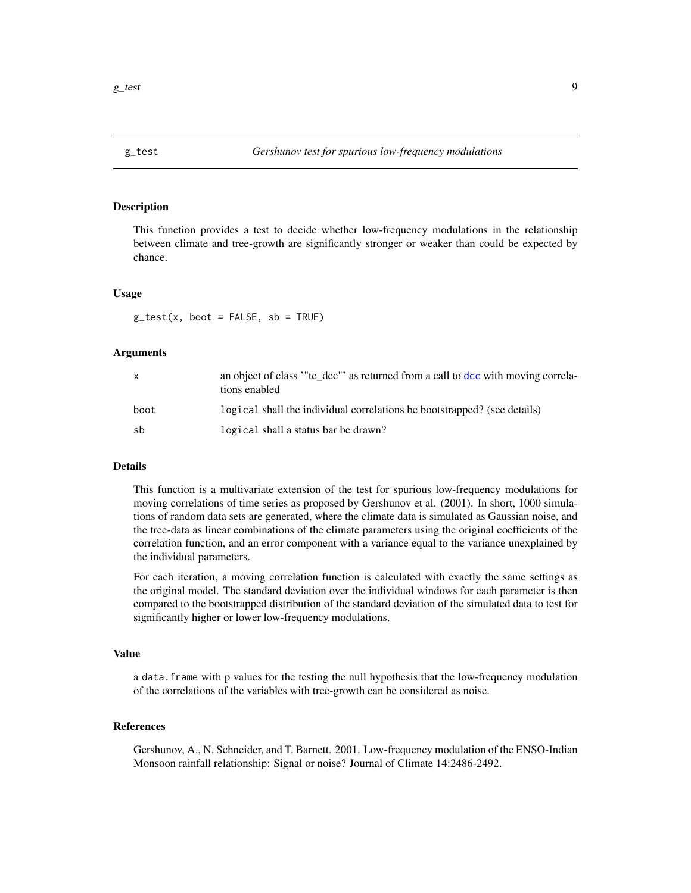<span id="page-8-0"></span>This function provides a test to decide whether low-frequency modulations in the relationship between climate and tree-growth are significantly stronger or weaker than could be expected by chance.

#### Usage

 $g_{\text{test}}(x, \text{boot} = \text{FALSE}, \text{sb} = \text{TRUE})$ 

#### Arguments

| $\mathbf{x}$ | an object of class "to dcc" as returned from a call to dcc with moving correla-<br>tions enabled |
|--------------|--------------------------------------------------------------------------------------------------|
| boot         | logical shall the individual correlations be bootstrapped? (see details)                         |
| -sh          | logical shall a status bar be drawn?                                                             |

#### Details

This function is a multivariate extension of the test for spurious low-frequency modulations for moving correlations of time series as proposed by Gershunov et al. (2001). In short, 1000 simulations of random data sets are generated, where the climate data is simulated as Gaussian noise, and the tree-data as linear combinations of the climate parameters using the original coefficients of the correlation function, and an error component with a variance equal to the variance unexplained by the individual parameters.

For each iteration, a moving correlation function is calculated with exactly the same settings as the original model. The standard deviation over the individual windows for each parameter is then compared to the bootstrapped distribution of the standard deviation of the simulated data to test for significantly higher or lower low-frequency modulations.

#### Value

a data.frame with p values for the testing the null hypothesis that the low-frequency modulation of the correlations of the variables with tree-growth can be considered as noise.

## References

Gershunov, A., N. Schneider, and T. Barnett. 2001. Low-frequency modulation of the ENSO-Indian Monsoon rainfall relationship: Signal or noise? Journal of Climate 14:2486-2492.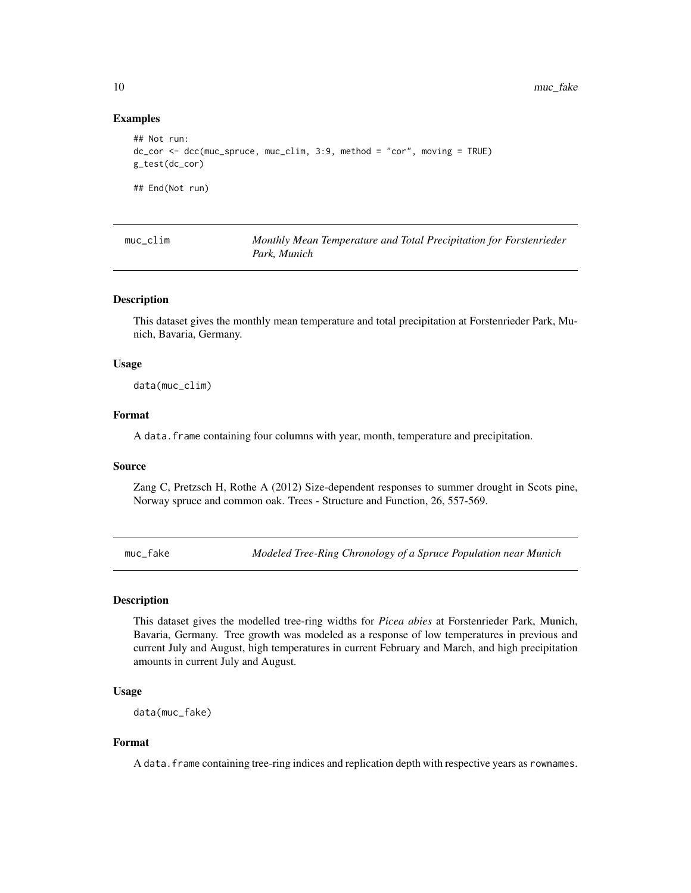## Examples

```
## Not run:
dc_cor <- dcc(muc_spruce, muc_clim, 3:9, method = "cor", moving = TRUE)
g_test(dc_cor)
## End(Not run)
```

| $muc$ <sub>-clim</sub> | Monthly Mean Temperature and Total Precipitation for Forstenrieder |
|------------------------|--------------------------------------------------------------------|
|                        | Park. Munich                                                       |

#### Description

This dataset gives the monthly mean temperature and total precipitation at Forstenrieder Park, Munich, Bavaria, Germany.

#### Usage

data(muc\_clim)

## Format

A data.frame containing four columns with year, month, temperature and precipitation.

#### Source

Zang C, Pretzsch H, Rothe A (2012) Size-dependent responses to summer drought in Scots pine, Norway spruce and common oak. Trees - Structure and Function, 26, 557-569.

muc\_fake *Modeled Tree-Ring Chronology of a Spruce Population near Munich*

#### **Description**

This dataset gives the modelled tree-ring widths for *Picea abies* at Forstenrieder Park, Munich, Bavaria, Germany. Tree growth was modeled as a response of low temperatures in previous and current July and August, high temperatures in current February and March, and high precipitation amounts in current July and August.

#### Usage

```
data(muc_fake)
```
## Format

A data. frame containing tree-ring indices and replication depth with respective years as rownames.

<span id="page-9-0"></span>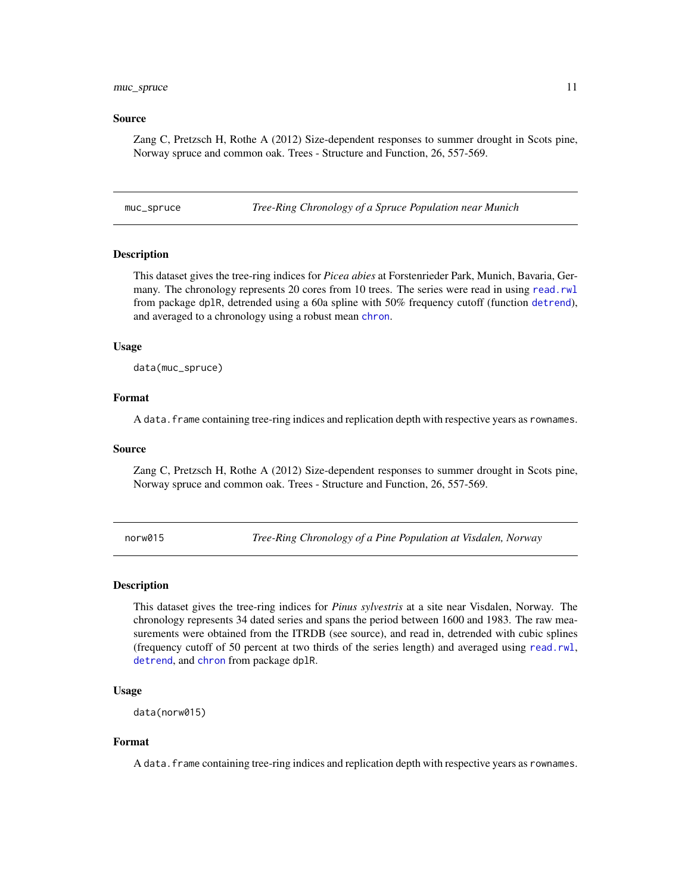#### <span id="page-10-0"></span>muc\_spruce 11

#### Source

Zang C, Pretzsch H, Rothe A (2012) Size-dependent responses to summer drought in Scots pine, Norway spruce and common oak. Trees - Structure and Function, 26, 557-569.

muc\_spruce *Tree-Ring Chronology of a Spruce Population near Munich*

## Description

This dataset gives the tree-ring indices for *Picea abies* at Forstenrieder Park, Munich, Bavaria, Germany. The chronology represents 20 cores from 10 trees. The series were read in using [read.rwl](#page-0-0) from package dplR, detrended using a 60a spline with 50% frequency cutoff (function [detrend](#page-0-0)), and averaged to a [chron](#page-0-0)ology using a robust mean chron.

#### Usage

data(muc\_spruce)

#### Format

A data. frame containing tree-ring indices and replication depth with respective years as rownames.

#### Source

Zang C, Pretzsch H, Rothe A (2012) Size-dependent responses to summer drought in Scots pine, Norway spruce and common oak. Trees - Structure and Function, 26, 557-569.

norw015 *Tree-Ring Chronology of a Pine Population at Visdalen, Norway*

#### Description

This dataset gives the tree-ring indices for *Pinus sylvestris* at a site near Visdalen, Norway. The chronology represents 34 dated series and spans the period between 1600 and 1983. The raw measurements were obtained from the ITRDB (see source), and read in, detrended with cubic splines (frequency cutoff of 50 percent at two thirds of the series length) and averaged using [read.rwl](#page-0-0), [detrend](#page-0-0), and [chron](#page-0-0) from package dplR.

## Usage

```
data(norw015)
```
## Format

A data. frame containing tree-ring indices and replication depth with respective years as rownames.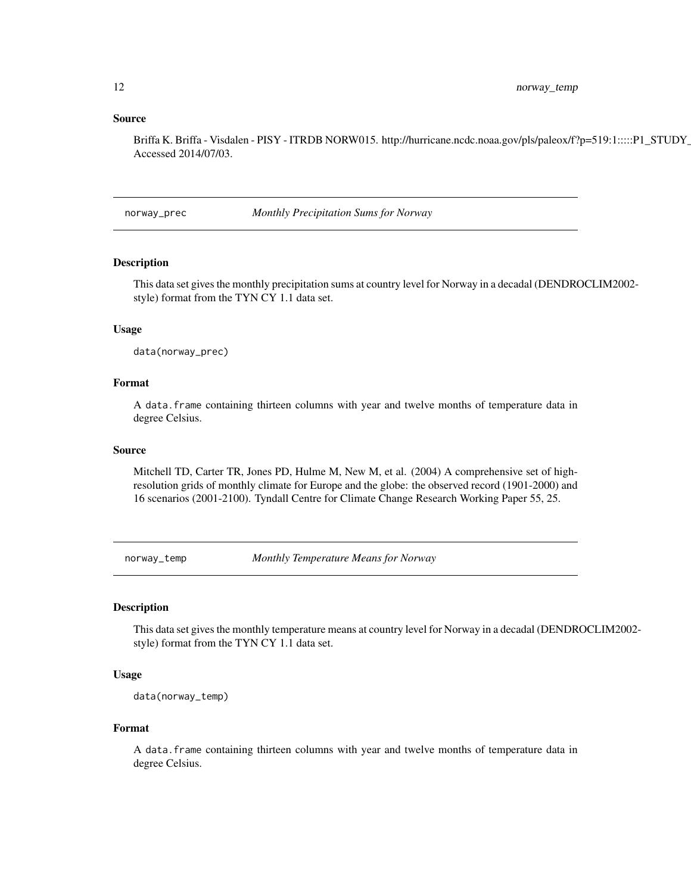#### <span id="page-11-0"></span>Source

Briffa K. Briffa - Visdalen - PISY - ITRDB NORW015. http://hurricane.ncdc.noaa.gov/pls/paleox/f?p=519:1:::::P1\_STUDY\_ Accessed 2014/07/03.

norway\_prec *Monthly Precipitation Sums for Norway*

## Description

This data set gives the monthly precipitation sums at country level for Norway in a decadal (DENDROCLIM2002 style) format from the TYN CY 1.1 data set.

## Usage

data(norway\_prec)

#### Format

A data.frame containing thirteen columns with year and twelve months of temperature data in degree Celsius.

#### Source

Mitchell TD, Carter TR, Jones PD, Hulme M, New M, et al. (2004) A comprehensive set of highresolution grids of monthly climate for Europe and the globe: the observed record (1901-2000) and 16 scenarios (2001-2100). Tyndall Centre for Climate Change Research Working Paper 55, 25.

norway\_temp *Monthly Temperature Means for Norway*

## Description

This data set gives the monthly temperature means at country level for Norway in a decadal (DENDROCLIM2002 style) format from the TYN CY 1.1 data set.

#### Usage

```
data(norway_temp)
```
#### Format

A data.frame containing thirteen columns with year and twelve months of temperature data in degree Celsius.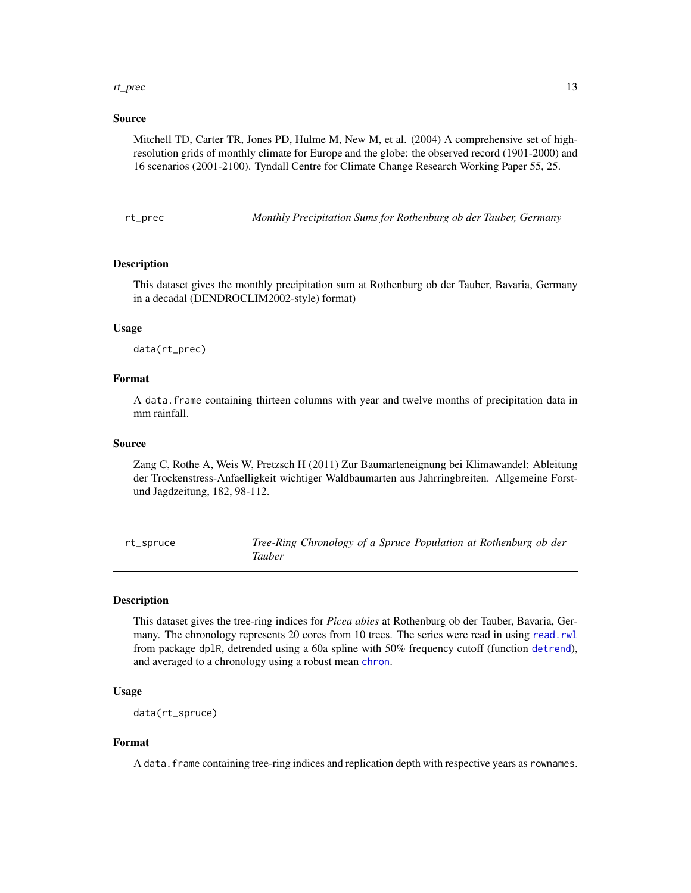#### <span id="page-12-0"></span>rt\_prec 13

## Source

Mitchell TD, Carter TR, Jones PD, Hulme M, New M, et al. (2004) A comprehensive set of highresolution grids of monthly climate for Europe and the globe: the observed record (1901-2000) and 16 scenarios (2001-2100). Tyndall Centre for Climate Change Research Working Paper 55, 25.

rt\_prec *Monthly Precipitation Sums for Rothenburg ob der Tauber, Germany*

#### Description

This dataset gives the monthly precipitation sum at Rothenburg ob der Tauber, Bavaria, Germany in a decadal (DENDROCLIM2002-style) format)

## Usage

data(rt\_prec)

## Format

A data.frame containing thirteen columns with year and twelve months of precipitation data in mm rainfall.

#### Source

Zang C, Rothe A, Weis W, Pretzsch H (2011) Zur Baumarteneignung bei Klimawandel: Ableitung der Trockenstress-Anfaelligkeit wichtiger Waldbaumarten aus Jahrringbreiten. Allgemeine Forstund Jagdzeitung, 182, 98-112.

rt\_spruce *Tree-Ring Chronology of a Spruce Population at Rothenburg ob der Tauber*

#### **Description**

This dataset gives the tree-ring indices for *Picea abies* at Rothenburg ob der Tauber, Bavaria, Germany. The chronology represents 20 cores from 10 trees. The series were read in using [read.rwl](#page-0-0) from package dplR, detrended using a 60a spline with 50% frequency cutoff (function [detrend](#page-0-0)), and averaged to a [chron](#page-0-0)ology using a robust mean chron.

#### Usage

data(rt\_spruce)

#### Format

A data. frame containing tree-ring indices and replication depth with respective years as rownames.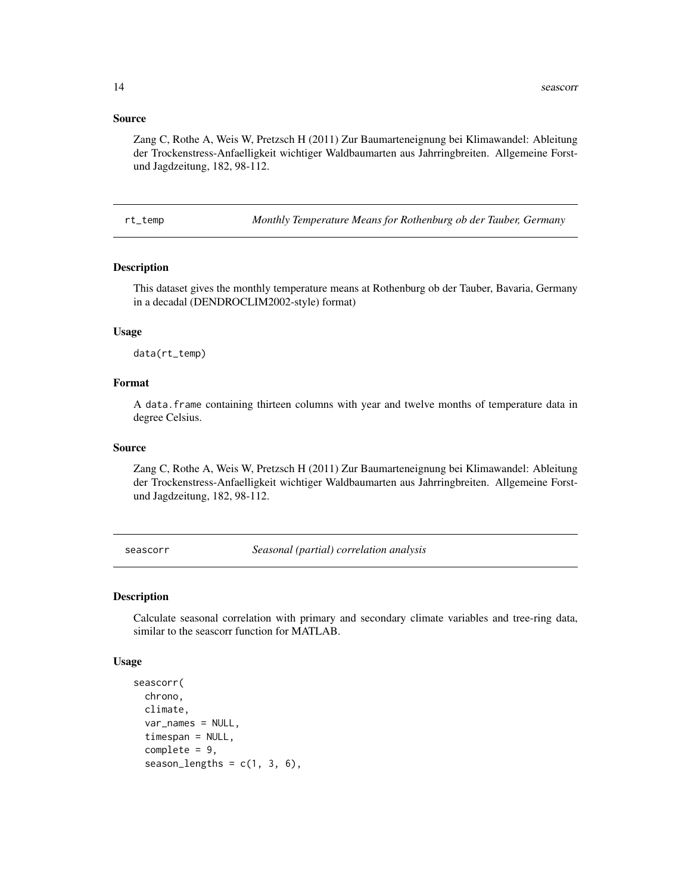#### <span id="page-13-0"></span>Source

Zang C, Rothe A, Weis W, Pretzsch H (2011) Zur Baumarteneignung bei Klimawandel: Ableitung der Trockenstress-Anfaelligkeit wichtiger Waldbaumarten aus Jahrringbreiten. Allgemeine Forstund Jagdzeitung, 182, 98-112.

rt\_temp *Monthly Temperature Means for Rothenburg ob der Tauber, Germany*

#### Description

This dataset gives the monthly temperature means at Rothenburg ob der Tauber, Bavaria, Germany in a decadal (DENDROCLIM2002-style) format)

#### Usage

data(rt\_temp)

#### Format

A data.frame containing thirteen columns with year and twelve months of temperature data in degree Celsius.

## Source

Zang C, Rothe A, Weis W, Pretzsch H (2011) Zur Baumarteneignung bei Klimawandel: Ableitung der Trockenstress-Anfaelligkeit wichtiger Waldbaumarten aus Jahrringbreiten. Allgemeine Forstund Jagdzeitung, 182, 98-112.

<span id="page-13-1"></span>seascorr *Seasonal (partial) correlation analysis*

#### Description

Calculate seasonal correlation with primary and secondary climate variables and tree-ring data, similar to the seascorr function for MATLAB.

#### Usage

```
seascorr(
  chrono,
  climate,
  var_names = NULL,
  timespan = NULL,
  complete = 9,
  season_lengths = c(1, 3, 6),
```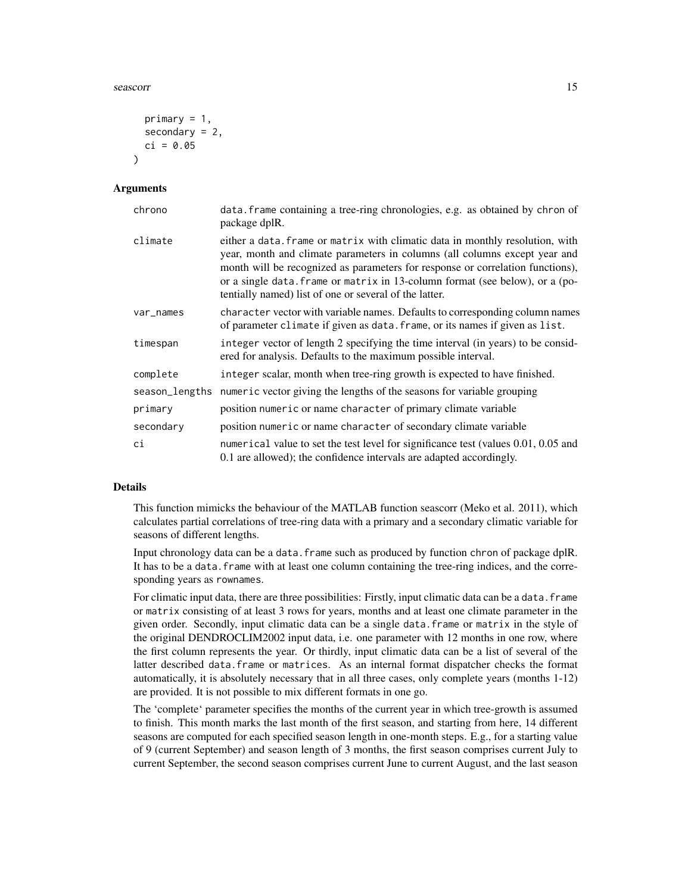#### seascorr and the seascorr contract to the seascorr contract of the seascorr contract of the seascorr contract of the seascorr contract of the seascorr contract of the seascorr contract of the seascorr contract of the seasc

```
primary = 1,
  secondary = 2,
  ci = 0.05\lambda
```
#### **Arguments**

| chrono         | data. frame containing a tree-ring chronologies, e.g. as obtained by chron of<br>package dplR.                                                                                                                                                                                                                                                                                          |
|----------------|-----------------------------------------------------------------------------------------------------------------------------------------------------------------------------------------------------------------------------------------------------------------------------------------------------------------------------------------------------------------------------------------|
| climate        | either a data. frame or matrix with climatic data in monthly resolution, with<br>year, month and climate parameters in columns (all columns except year and<br>month will be recognized as parameters for response or correlation functions),<br>or a single data. frame or matrix in 13-column format (see below), or a (po-<br>tentially named) list of one or several of the latter. |
| var_names      | character vector with variable names. Defaults to corresponding column names<br>of parameter climate if given as data. frame, or its names if given as list.                                                                                                                                                                                                                            |
| timespan       | integer vector of length 2 specifying the time interval (in years) to be consid-<br>ered for analysis. Defaults to the maximum possible interval.                                                                                                                                                                                                                                       |
| complete       | integer scalar, month when tree-ring growth is expected to have finished.                                                                                                                                                                                                                                                                                                               |
| season_lengths | numeric vector giving the lengths of the seasons for variable grouping                                                                                                                                                                                                                                                                                                                  |
| primary        | position numeric or name character of primary climate variable                                                                                                                                                                                                                                                                                                                          |
| secondary      | position numeric or name character of secondary climate variable                                                                                                                                                                                                                                                                                                                        |
| сi             | numerical value to set the test level for significance test (values 0.01, 0.05 and<br>0.1 are allowed); the confidence intervals are adapted accordingly.                                                                                                                                                                                                                               |

## **Details**

This function mimicks the behaviour of the MATLAB function seascorr (Meko et al. 2011), which calculates partial correlations of tree-ring data with a primary and a secondary climatic variable for seasons of different lengths.

Input chronology data can be a data.frame such as produced by function chron of package dplR. It has to be a data. frame with at least one column containing the tree-ring indices, and the corresponding years as rownames.

For climatic input data, there are three possibilities: Firstly, input climatic data can be a data.frame or matrix consisting of at least 3 rows for years, months and at least one climate parameter in the given order. Secondly, input climatic data can be a single data.frame or matrix in the style of the original DENDROCLIM2002 input data, i.e. one parameter with 12 months in one row, where the first column represents the year. Or thirdly, input climatic data can be a list of several of the latter described data.frame or matrices. As an internal format dispatcher checks the format automatically, it is absolutely necessary that in all three cases, only complete years (months 1-12) are provided. It is not possible to mix different formats in one go.

The 'complete' parameter specifies the months of the current year in which tree-growth is assumed to finish. This month marks the last month of the first season, and starting from here, 14 different seasons are computed for each specified season length in one-month steps. E.g., for a starting value of 9 (current September) and season length of 3 months, the first season comprises current July to current September, the second season comprises current June to current August, and the last season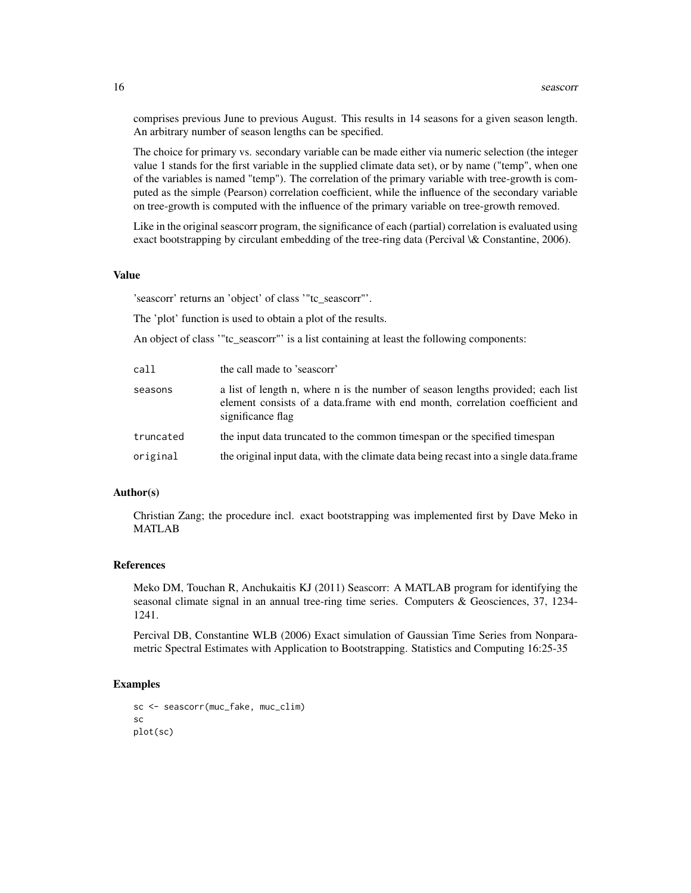comprises previous June to previous August. This results in 14 seasons for a given season length. An arbitrary number of season lengths can be specified.

The choice for primary vs. secondary variable can be made either via numeric selection (the integer value 1 stands for the first variable in the supplied climate data set), or by name ("temp", when one of the variables is named "temp"). The correlation of the primary variable with tree-growth is computed as the simple (Pearson) correlation coefficient, while the influence of the secondary variable on tree-growth is computed with the influence of the primary variable on tree-growth removed.

Like in the original seascorr program, the significance of each (partial) correlation is evaluated using exact bootstrapping by circulant embedding of the tree-ring data (Percival \& Constantine, 2006).

#### Value

'seascorr' returns an 'object' of class '"tc\_seascorr"'.

The 'plot' function is used to obtain a plot of the results.

An object of class '"tc\_seascorr"' is a list containing at least the following components:

| call      | the call made to 'seascorr'                                                                                                                                                          |
|-----------|--------------------------------------------------------------------------------------------------------------------------------------------------------------------------------------|
| seasons   | a list of length n, where n is the number of season lengths provided; each list<br>element consists of a data.frame with end month, correlation coefficient and<br>significance flag |
| truncated | the input data truncated to the common timespan or the specified timespan                                                                                                            |
| original  | the original input data, with the climate data being recast into a single data.frame                                                                                                 |

#### Author(s)

Christian Zang; the procedure incl. exact bootstrapping was implemented first by Dave Meko in MATLAB

#### References

Meko DM, Touchan R, Anchukaitis KJ (2011) Seascorr: A MATLAB program for identifying the seasonal climate signal in an annual tree-ring time series. Computers & Geosciences, 37, 1234- 1241.

Percival DB, Constantine WLB (2006) Exact simulation of Gaussian Time Series from Nonparametric Spectral Estimates with Application to Bootstrapping. Statistics and Computing 16:25-35

#### Examples

```
sc <- seascorr(muc_fake, muc_clim)
sc
plot(sc)
```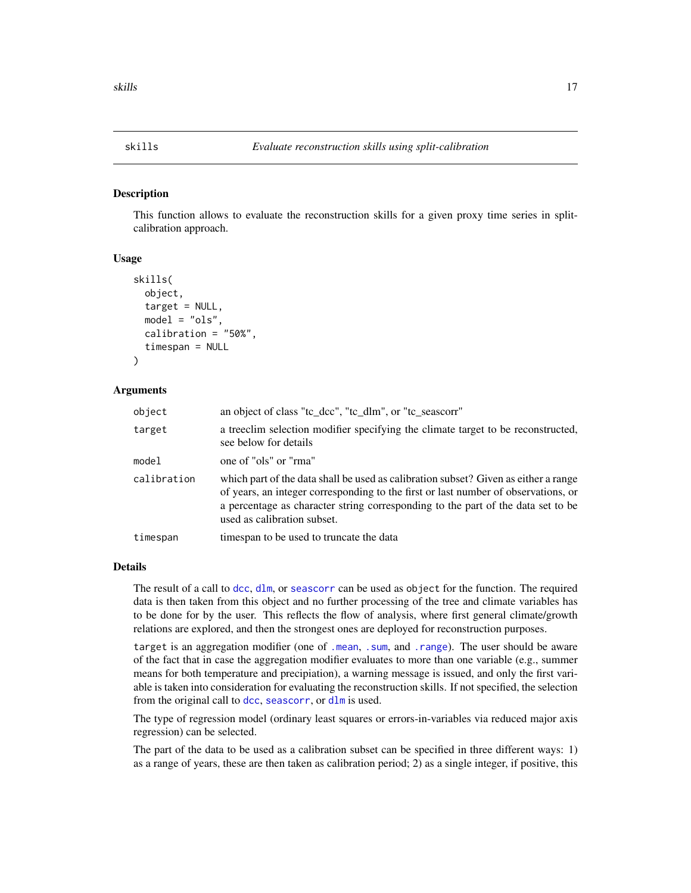<span id="page-16-0"></span>This function allows to evaluate the reconstruction skills for a given proxy time series in splitcalibration approach.

#### Usage

```
skills(
  object,
  target = NULL,model = "ols",
  calibration = "50%",
  timespan = NULL
)
```
## Arguments

| object      | an object of class "tc_dcc", "tc_dlm", or "tc_seascorr"                                                                                                                                                                                                                                      |
|-------------|----------------------------------------------------------------------------------------------------------------------------------------------------------------------------------------------------------------------------------------------------------------------------------------------|
| target      | a treeclim selection modifier specifying the climate target to be reconstructed,<br>see below for details                                                                                                                                                                                    |
| model       | one of "ols" or "rma"                                                                                                                                                                                                                                                                        |
| calibration | which part of the data shall be used as calibration subset? Given as either a range<br>of years, an integer corresponding to the first or last number of observations, or<br>a percentage as character string corresponding to the part of the data set to be<br>used as calibration subset. |
| timespan    | times pan to be used to truncate the data                                                                                                                                                                                                                                                    |
|             |                                                                                                                                                                                                                                                                                              |

#### Details

The result of a call to [dcc](#page-1-1), [dlm](#page-5-1), or [seascorr](#page-13-1) can be used as object for the function. The required data is then taken from this object and no further processing of the tree and climate variables has to be done for by the user. This reflects the flow of analysis, where first general climate/growth relations are explored, and then the strongest ones are deployed for reconstruction purposes.

target is an aggregation modifier (one of [.mean](#page-20-2), [.sum](#page-20-2), and [.range](#page-20-2)). The user should be aware of the fact that in case the aggregation modifier evaluates to more than one variable (e.g., summer means for both temperature and precipiation), a warning message is issued, and only the first variable is taken into consideration for evaluating the reconstruction skills. If not specified, the selection from the original call to [dcc](#page-1-1), [seascorr](#page-13-1), or [dlm](#page-5-1) is used.

The type of regression model (ordinary least squares or errors-in-variables via reduced major axis regression) can be selected.

The part of the data to be used as a calibration subset can be specified in three different ways: 1) as a range of years, these are then taken as calibration period; 2) as a single integer, if positive, this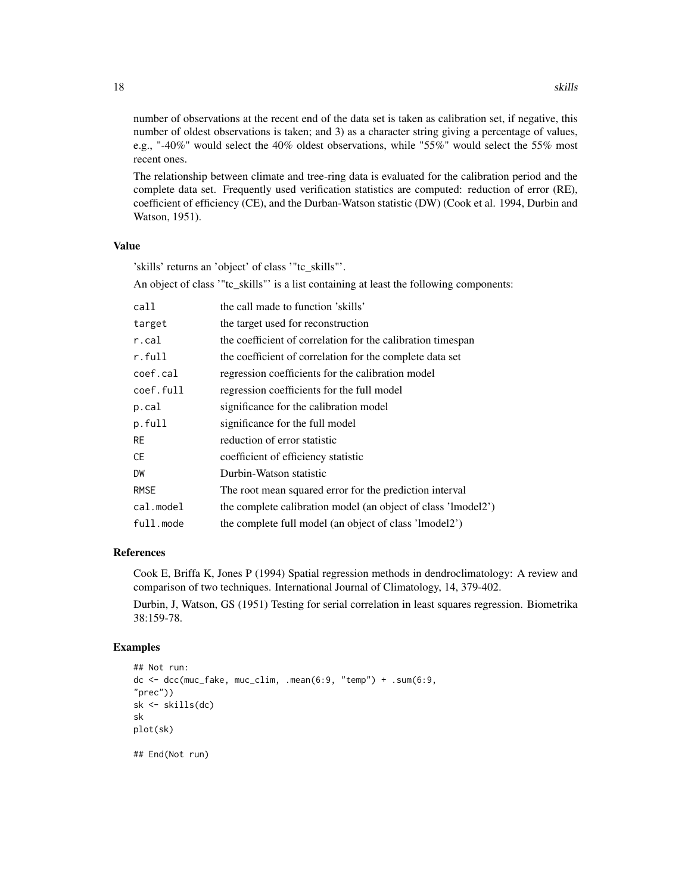number of observations at the recent end of the data set is taken as calibration set, if negative, this number of oldest observations is taken; and 3) as a character string giving a percentage of values, e.g., "-40%" would select the 40% oldest observations, while "55%" would select the 55% most recent ones.

The relationship between climate and tree-ring data is evaluated for the calibration period and the complete data set. Frequently used verification statistics are computed: reduction of error (RE), coefficient of efficiency (CE), and the Durban-Watson statistic (DW) (Cook et al. 1994, Durbin and Watson, 1951).

## Value

'skills' returns an 'object' of class '"tc\_skills"'.

An object of class '"tc\_skills"' is a list containing at least the following components:

| call        | the call made to function 'skills'                            |
|-------------|---------------------------------------------------------------|
| target      | the target used for reconstruction                            |
| r.cal       | the coefficient of correlation for the calibration timespan   |
| r.full      | the coefficient of correlation for the complete data set      |
| coef.cal    | regression coefficients for the calibration model             |
| coef.full   | regression coefficients for the full model                    |
| p.cal       | significance for the calibration model                        |
| p.full      | significance for the full model                               |
| <b>RE</b>   | reduction of error statistic                                  |
| СE          | coefficient of efficiency statistic                           |
| DW          | Durbin-Watson statistic                                       |
| <b>RMSE</b> | The root mean squared error for the prediction interval       |
| cal.model   | the complete calibration model (an object of class 'lmodel2') |
| full.mode   | the complete full model (an object of class 'lmodel2')        |

#### References

Cook E, Briffa K, Jones P (1994) Spatial regression methods in dendroclimatology: A review and comparison of two techniques. International Journal of Climatology, 14, 379-402.

Durbin, J, Watson, GS (1951) Testing for serial correlation in least squares regression. Biometrika 38:159-78.

#### Examples

```
## Not run:
dc < - dec(muc_fake, muc_clim, .mean(6:9, 'temp'') + .sum(6:9, )"prec"))
sk <- skills(dc)
sk
plot(sk)
## End(Not run)
```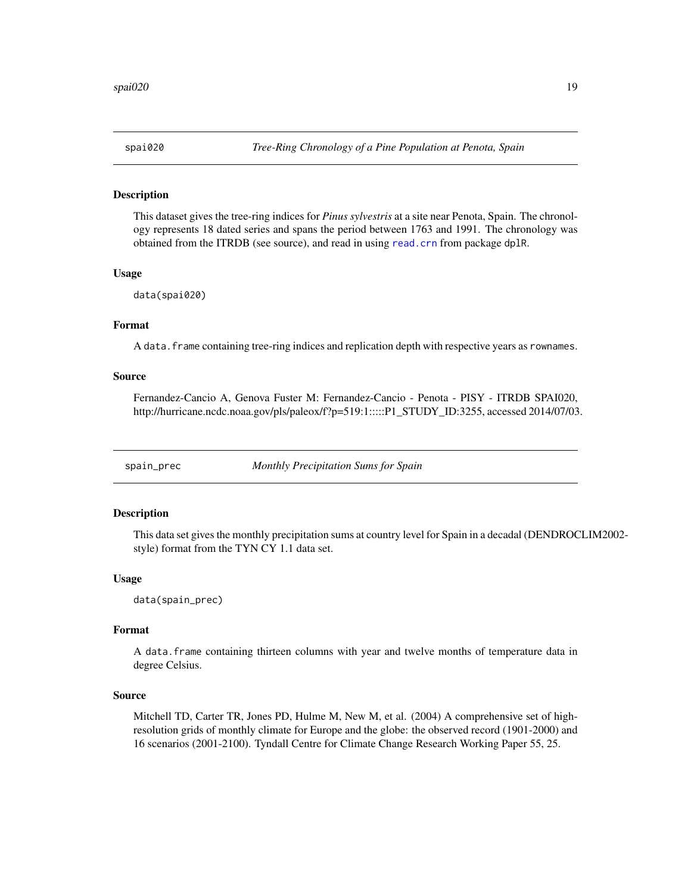<span id="page-18-0"></span>

This dataset gives the tree-ring indices for *Pinus sylvestris* at a site near Penota, Spain. The chronology represents 18 dated series and spans the period between 1763 and 1991. The chronology was obtained from the ITRDB (see source), and read in using [read.crn](#page-0-0) from package dplR.

#### Usage

data(spai020)

## Format

A data. frame containing tree-ring indices and replication depth with respective years as rownames.

#### Source

Fernandez-Cancio A, Genova Fuster M: Fernandez-Cancio - Penota - PISY - ITRDB SPAI020, http://hurricane.ncdc.noaa.gov/pls/paleox/f?p=519:1:::::P1\_STUDY\_ID:3255, accessed 2014/07/03.

spain\_prec *Monthly Precipitation Sums for Spain*

#### Description

This data set gives the monthly precipitation sums at country level for Spain in a decadal (DENDROCLIM2002 style) format from the TYN CY 1.1 data set.

#### Usage

data(spain\_prec)

#### Format

A data.frame containing thirteen columns with year and twelve months of temperature data in degree Celsius.

### Source

Mitchell TD, Carter TR, Jones PD, Hulme M, New M, et al. (2004) A comprehensive set of highresolution grids of monthly climate for Europe and the globe: the observed record (1901-2000) and 16 scenarios (2001-2100). Tyndall Centre for Climate Change Research Working Paper 55, 25.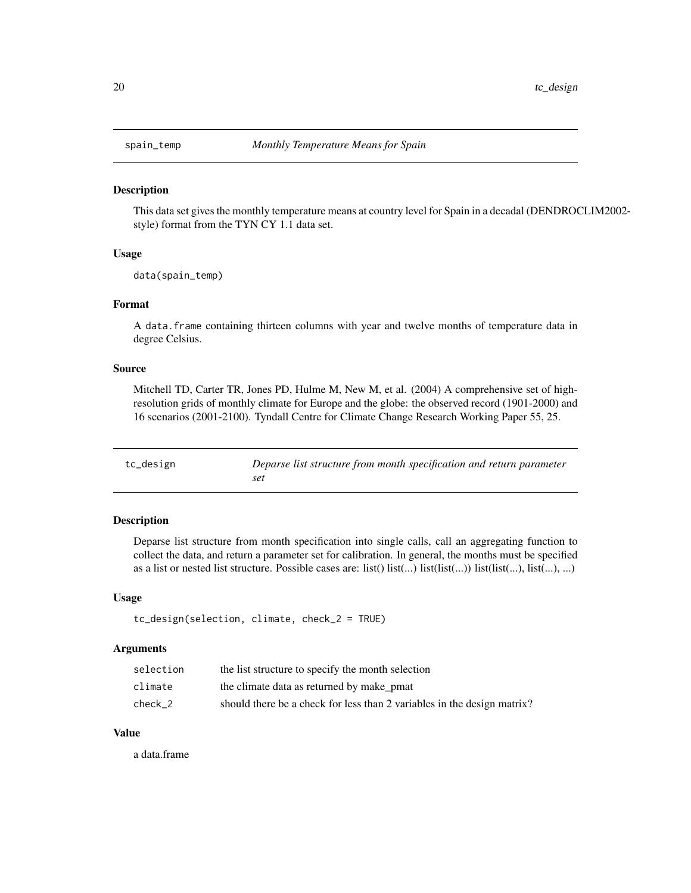<span id="page-19-0"></span>

This data set gives the monthly temperature means at country level for Spain in a decadal (DENDROCLIM2002 style) format from the TYN CY 1.1 data set.

## Usage

data(spain\_temp)

## Format

A data.frame containing thirteen columns with year and twelve months of temperature data in degree Celsius.

#### Source

Mitchell TD, Carter TR, Jones PD, Hulme M, New M, et al. (2004) A comprehensive set of highresolution grids of monthly climate for Europe and the globe: the observed record (1901-2000) and 16 scenarios (2001-2100). Tyndall Centre for Climate Change Research Working Paper 55, 25.

| tc_design | Deparse list structure from month specification and return parameter |
|-----------|----------------------------------------------------------------------|
|           | set                                                                  |

#### Description

Deparse list structure from month specification into single calls, call an aggregating function to collect the data, and return a parameter set for calibration. In general, the months must be specified as a list or nested list structure. Possible cases are: list()  $list(...)$  list(list(...)) list(list(...), list(...), ...)

#### Usage

```
tc_design(selection, climate, check_2 = TRUE)
```
#### Arguments

| selection | the list structure to specify the month selection                       |
|-----------|-------------------------------------------------------------------------|
| climate   | the climate data as returned by make pmat                               |
| check 2   | should there be a check for less than 2 variables in the design matrix? |

## Value

a data.frame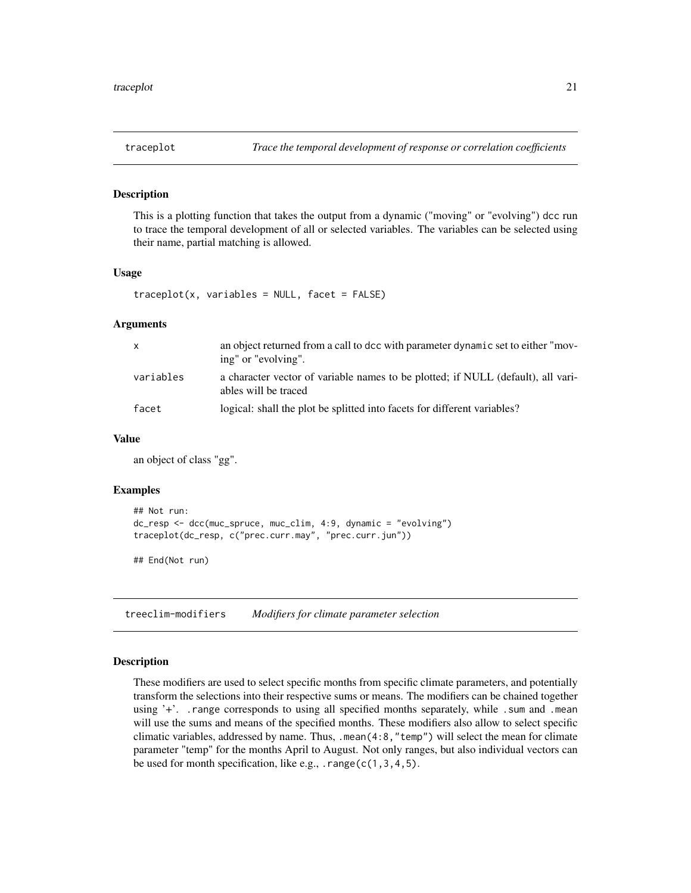<span id="page-20-0"></span>

This is a plotting function that takes the output from a dynamic ("moving" or "evolving") dcc run to trace the temporal development of all or selected variables. The variables can be selected using their name, partial matching is allowed.

## Usage

```
traceplot(x, variable s = NULL, facet = FALSE)
```
#### Arguments

| X         | an object returned from a call to dcc with parameter dynamic set to either "mov-<br>ing" or "evolving".  |
|-----------|----------------------------------------------------------------------------------------------------------|
| variables | a character vector of variable names to be plotted; if NULL (default), all vari-<br>ables will be traced |
| facet     | logical: shall the plot be splitted into facets for different variables?                                 |

## Value

an object of class "gg".

#### Examples

```
## Not run:
dc_resp <- dcc(muc_spruce, muc_clim, 4:9, dynamic = "evolving")
traceplot(dc_resp, c("prec.curr.may", "prec.curr.jun"))
```
## End(Not run)

<span id="page-20-1"></span>treeclim-modifiers *Modifiers for climate parameter selection*

## <span id="page-20-2"></span>Description

These modifiers are used to select specific months from specific climate parameters, and potentially transform the selections into their respective sums or means. The modifiers can be chained together using '+'. . range corresponds to using all specified months separately, while . sum and .mean will use the sums and means of the specified months. These modifiers also allow to select specific climatic variables, addressed by name. Thus, .mean(4:8,"temp") will select the mean for climate parameter "temp" for the months April to August. Not only ranges, but also individual vectors can be used for month specification, like e.g., . range( $c(1,3,4,5)$ .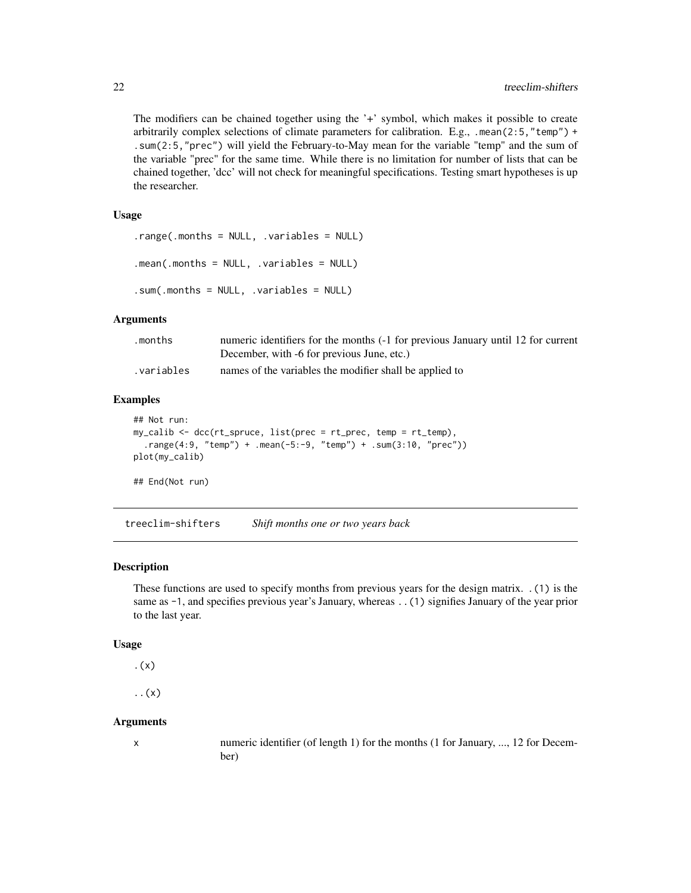<span id="page-21-0"></span>The modifiers can be chained together using the '+' symbol, which makes it possible to create arbitrarily complex selections of climate parameters for calibration. E.g., .mean(2:5,"temp") + .sum(2:5,"prec") will yield the February-to-May mean for the variable "temp" and the sum of the variable "prec" for the same time. While there is no limitation for number of lists that can be chained together, 'dcc' will not check for meaningful specifications. Testing smart hypotheses is up the researcher.

#### Usage

```
.range(.months = NULL, .variables = NULL)
.mean(.months = NULL, .variables = NULL)
.sum(.months = NULL, .variables = NULL)
```
## Arguments

| .months    | numeric identifiers for the months (-1 for previous January until 12 for current |
|------------|----------------------------------------------------------------------------------|
|            | December, with -6 for previous June, etc.)                                       |
| .variables | names of the variables the modifier shall be applied to                          |

#### Examples

```
## Not run:
my_calib <- dcc(rt_spruce, list(prec = rt_prec, temp = rt_temp),
  .range(4:9, "temp") + .mean(-5:-9, "temp") + .sum(3:10, "prec"))
plot(my_calib)
## End(Not run)
```
<span id="page-21-1"></span>treeclim-shifters *Shift months one or two years back*

#### Description

These functions are used to specify months from previous years for the design matrix. .(1) is the same as  $-1$ , and specifies previous year's January, whereas . . (1) signifies January of the year prior to the last year.

#### Usage

```
.(x)
```
..(x)

#### Arguments

x numeric identifier (of length 1) for the months (1 for January, ..., 12 for December)